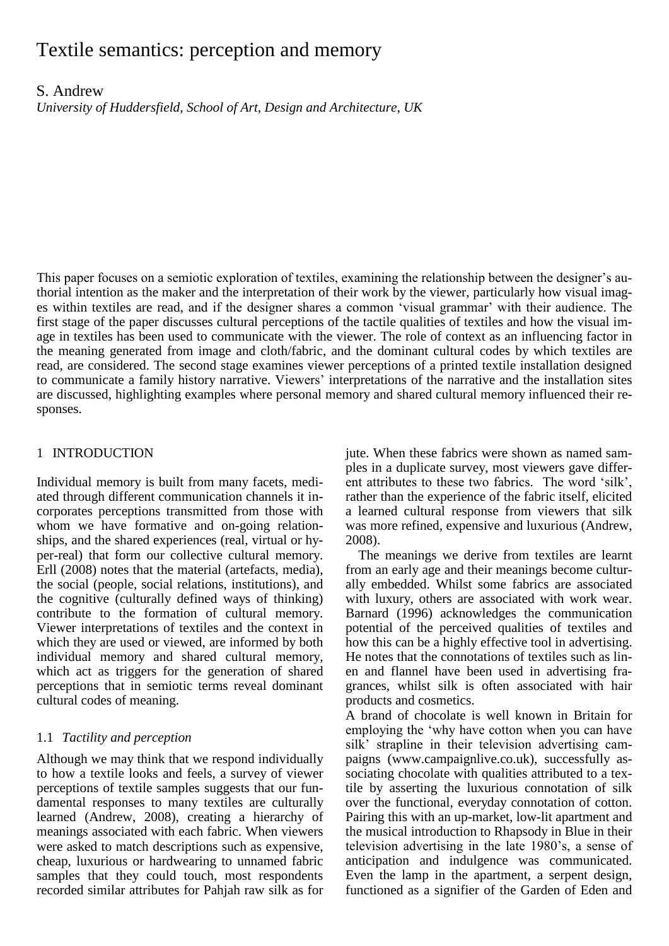# Textile semantics: perception and memory

S. Andrew

*University of Huddersfield, School of Art, Design and Architecture, UK*

This paper focuses on a semiotic exploration of textiles, examining the relationship between the designer's authorial intention as the maker and the interpretation of their work by the viewer, particularly how visual images within textiles are read, and if the designer shares a common 'visual grammar' with their audience. The first stage of the paper discusses cultural perceptions of the tactile qualities of textiles and how the visual image in textiles has been used to communicate with the viewer. The role of context as an influencing factor in the meaning generated from image and cloth/fabric, and the dominant cultural codes by which textiles are read, are considered. The second stage examines viewer perceptions of a printed textile installation designed to communicate a family history narrative. Viewers' interpretations of the narrative and the installation sites are discussed, highlighting examples where personal memory and shared cultural memory influenced their responses.

# 1 INTRODUCTION

Individual memory is built from many facets, mediated through different communication channels it incorporates perceptions transmitted from those with whom we have formative and on-going relationships, and the shared experiences (real, virtual or hyper-real) that form our collective cultural memory. Erll (2008) notes that the material (artefacts, media), the social (people, social relations, institutions), and the cognitive (culturally defined ways of thinking) contribute to the formation of cultural memory. Viewer interpretations of textiles and the context in which they are used or viewed, are informed by both individual memory and shared cultural memory, which act as triggers for the generation of shared perceptions that in semiotic terms reveal dominant cultural codes of meaning.

## 1.1 *Tactility and perception*

Although we may think that we respond individually to how a textile looks and feels, a survey of viewer perceptions of textile samples suggests that our fundamental responses to many textiles are culturally learned (Andrew, 2008), creating a hierarchy of meanings associated with each fabric. When viewers were asked to match descriptions such as expensive, cheap, luxurious or hardwearing to unnamed fabric samples that they could touch, most respondents recorded similar attributes for Pahjah raw silk as for

jute. When these fabrics were shown as named samples in a duplicate survey, most viewers gave different attributes to these two fabrics. The word 'silk', rather than the experience of the fabric itself, elicited a learned cultural response from viewers that silk was more refined, expensive and luxurious (Andrew, 2008).

The meanings we derive from textiles are learnt from an early age and their meanings become culturally embedded. Whilst some fabrics are associated with luxury, others are associated with work wear. Barnard (1996) acknowledges the communication potential of the perceived qualities of textiles and how this can be a highly effective tool in advertising. He notes that the connotations of textiles such as linen and flannel have been used in advertising fragrances, whilst silk is often associated with hair products and cosmetics.

A brand of chocolate is well known in Britain for employing the 'why have cotton when you can have silk' strapline in their television advertising campaigns (www.campaignlive.co.uk), successfully associating chocolate with qualities attributed to a textile by asserting the luxurious connotation of silk over the functional, everyday connotation of cotton. Pairing this with an up-market, low-lit apartment and the musical introduction to Rhapsody in Blue in their television advertising in the late 1980's, a sense of anticipation and indulgence was communicated. Even the lamp in the apartment, a serpent design, functioned as a signifier of the Garden of Eden and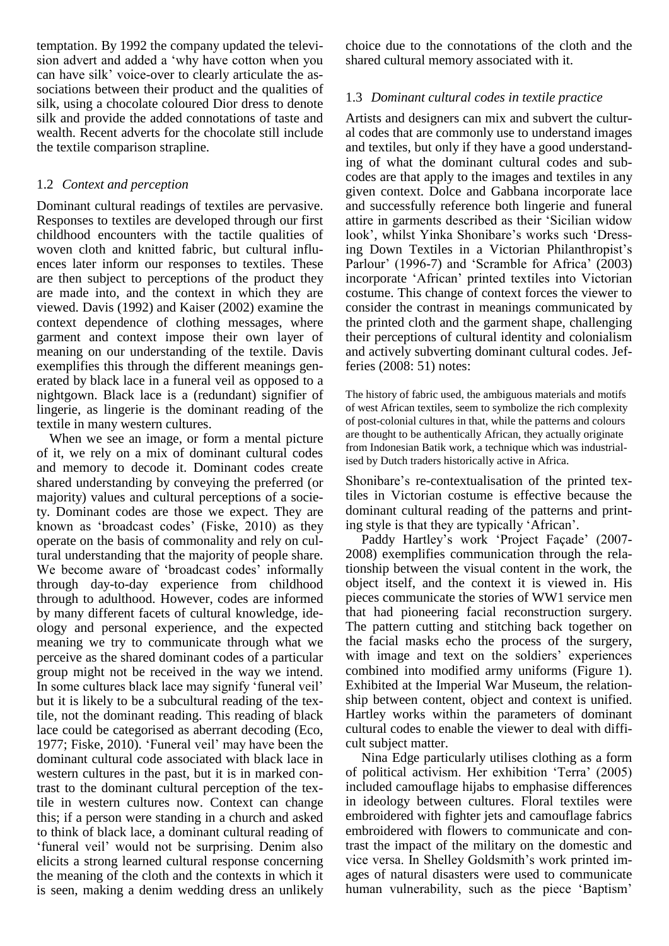temptation. By 1992 the company updated the television advert and added a 'why have cotton when you can have silk' voice-over to clearly articulate the associations between their product and the qualities of silk, using a chocolate coloured Dior dress to denote silk and provide the added connotations of taste and wealth. Recent adverts for the chocolate still include the textile comparison strapline.

## 1.2 *Context and perception*

Dominant cultural readings of textiles are pervasive. Responses to textiles are developed through our first childhood encounters with the tactile qualities of woven cloth and knitted fabric, but cultural influences later inform our responses to textiles. These are then subject to perceptions of the product they are made into, and the context in which they are viewed. Davis (1992) and Kaiser (2002) examine the context dependence of clothing messages, where garment and context impose their own layer of meaning on our understanding of the textile. Davis exemplifies this through the different meanings generated by black lace in a funeral veil as opposed to a nightgown. Black lace is a (redundant) signifier of lingerie, as lingerie is the dominant reading of the textile in many western cultures.

When we see an image, or form a mental picture of it, we rely on a mix of dominant cultural codes and memory to decode it. Dominant codes create shared understanding by conveying the preferred (or majority) values and cultural perceptions of a society. Dominant codes are those we expect. They are known as 'broadcast codes' (Fiske, 2010) as they operate on the basis of commonality and rely on cultural understanding that the majority of people share. We become aware of 'broadcast codes' informally through day-to-day experience from childhood through to adulthood. However, codes are informed by many different facets of cultural knowledge, ideology and personal experience, and the expected meaning we try to communicate through what we perceive as the shared dominant codes of a particular group might not be received in the way we intend. In some cultures black lace may signify 'funeral veil' but it is likely to be a subcultural reading of the textile, not the dominant reading. This reading of black lace could be categorised as aberrant decoding (Eco, 1977; Fiske, 2010). 'Funeral veil' may have been the dominant cultural code associated with black lace in western cultures in the past, but it is in marked contrast to the dominant cultural perception of the textile in western cultures now. Context can change this; if a person were standing in a church and asked to think of black lace, a dominant cultural reading of 'funeral veil' would not be surprising. Denim also elicits a strong learned cultural response concerning the meaning of the cloth and the contexts in which it is seen, making a denim wedding dress an unlikely

choice due to the connotations of the cloth and the shared cultural memory associated with it.

# 1.3 *Dominant cultural codes in textile practice*

Artists and designers can mix and subvert the cultural codes that are commonly use to understand images and textiles, but only if they have a good understanding of what the dominant cultural codes and subcodes are that apply to the images and textiles in any given context. Dolce and Gabbana incorporate lace and successfully reference both lingerie and funeral attire in garments described as their 'Sicilian widow look', whilst Yinka Shonibare's works such 'Dressing Down Textiles in a Victorian Philanthropist's Parlour' (1996-7) and 'Scramble for Africa' (2003) incorporate 'African' printed textiles into Victorian costume. This change of context forces the viewer to consider the contrast in meanings communicated by the printed cloth and the garment shape, challenging their perceptions of cultural identity and colonialism and actively subverting dominant cultural codes. Jefferies (2008: 51) notes:

The history of fabric used, the ambiguous materials and motifs of west African textiles, seem to symbolize the rich complexity of post-colonial cultures in that, while the patterns and colours are thought to be authentically African, they actually originate from Indonesian Batik work, a technique which was industrialised by Dutch traders historically active in Africa.

Shonibare's re-contextualisation of the printed textiles in Victorian costume is effective because the dominant cultural reading of the patterns and printing style is that they are typically 'African'.

Paddy Hartley's work 'Project Façade' (2007- 2008) exemplifies communication through the relationship between the visual content in the work, the object itself, and the context it is viewed in. His pieces communicate the stories of WW1 service men that had pioneering facial reconstruction surgery. The pattern cutting and stitching back together on the facial masks echo the process of the surgery, with image and text on the soldiers' experiences combined into modified army uniforms (Figure 1). Exhibited at the Imperial War Museum, the relationship between content, object and context is unified. Hartley works within the parameters of dominant cultural codes to enable the viewer to deal with difficult subject matter.

Nina Edge particularly utilises clothing as a form of political activism. Her exhibition 'Terra' (2005) included camouflage hijabs to emphasise differences in ideology between cultures. Floral textiles were embroidered with fighter jets and camouflage fabrics embroidered with flowers to communicate and contrast the impact of the military on the domestic and vice versa. In Shelley Goldsmith's work printed images of natural disasters were used to communicate human vulnerability, such as the piece 'Baptism'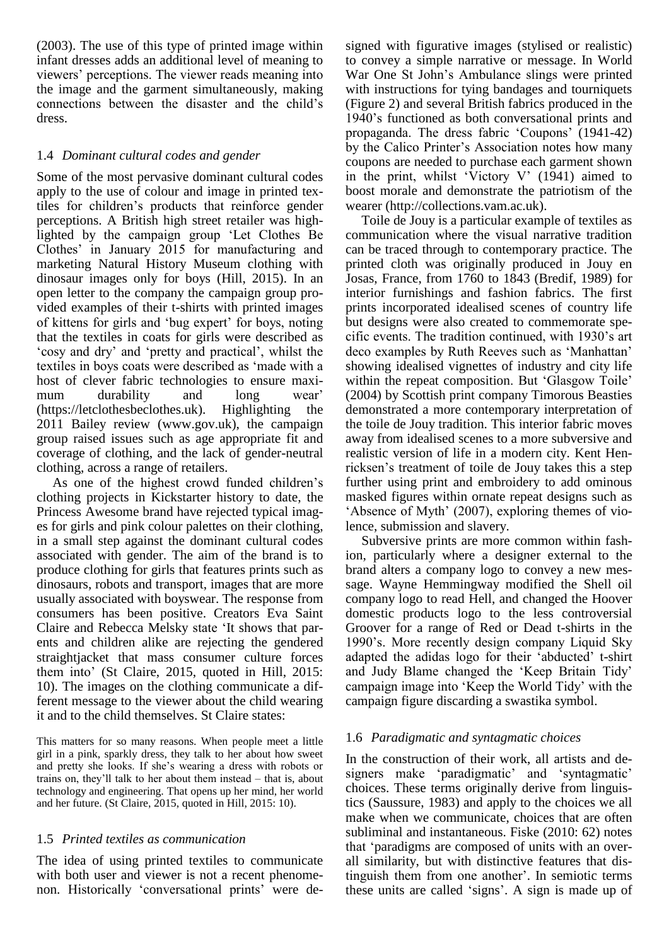(2003). The use of this type of printed image within infant dresses adds an additional level of meaning to viewers' perceptions. The viewer reads meaning into the image and the garment simultaneously, making connections between the disaster and the child's dress.

# 1.4 *Dominant cultural codes and gender*

Some of the most pervasive dominant cultural codes apply to the use of colour and image in printed textiles for children's products that reinforce gender perceptions. A British high street retailer was highlighted by the campaign group 'Let Clothes Be Clothes' in January 2015 for manufacturing and marketing Natural History Museum clothing with dinosaur images only for boys (Hill, 2015). In an open letter to the company the campaign group provided examples of their t-shirts with printed images of kittens for girls and 'bug expert' for boys, noting that the textiles in coats for girls were described as 'cosy and dry' and 'pretty and practical', whilst the textiles in boys coats were described as 'made with a host of clever fabric technologies to ensure maximum durability and long wear' [\(https://letclothesbeclothes.uk\)](https://letclothesbeclothes.uk/). Highlighting the 2011 Bailey review [\(www.gov.uk\)](http://www.gov.uk/), the campaign group raised issues such as age appropriate fit and coverage of clothing, and the lack of gender-neutral clothing, across a range of retailers.

As one of the highest crowd funded children's clothing projects in Kickstarter history to date, the Princess Awesome brand have rejected typical images for girls and pink colour palettes on their clothing, in a small step against the dominant cultural codes associated with gender. The aim of the brand is to produce clothing for girls that features prints such as dinosaurs, robots and transport, images that are more usually associated with boyswear. The response from consumers has been positive. Creators Eva Saint Claire and Rebecca Melsky state 'It shows that parents and children alike are rejecting the gendered straightjacket that mass consumer culture forces them into' (St Claire, 2015, quoted in Hill, 2015: 10). The images on the clothing communicate a different message to the viewer about the child wearing it and to the child themselves. St Claire states:

This matters for so many reasons. When people meet a little girl in a pink, sparkly dress, they talk to her about how sweet and pretty she looks. If she's wearing a dress with robots or trains on, they'll talk to her about them instead – that is, about technology and engineering. That opens up her mind, her world and her future. (St Claire, 2015, quoted in Hill, 2015: 10).

## 1.5 *Printed textiles as communication*

The idea of using printed textiles to communicate with both user and viewer is not a recent phenomenon. Historically 'conversational prints' were designed with figurative images (stylised or realistic) to convey a simple narrative or message. In World War One St John's Ambulance slings were printed with instructions for tying bandages and tourniquets (Figure 2) and several British fabrics produced in the 1940's functioned as both conversational prints and propaganda. The dress fabric 'Coupons' (1941-42) by the Calico Printer's Association notes how many coupons are needed to purchase each garment shown in the print, whilst 'Victory V' (1941) aimed to boost morale and demonstrate the patriotism of the wearer (http://collections.vam.ac.uk).

Toile de Jouy is a particular example of textiles as communication where the visual narrative tradition can be traced through to contemporary practice. The printed cloth was originally produced in Jouy en Josas, France, from 1760 to 1843 (Bredif, 1989) for interior furnishings and fashion fabrics. The first prints incorporated idealised scenes of country life but designs were also created to commemorate specific events. The tradition continued, with 1930's art deco examples by Ruth Reeves such as 'Manhattan' showing idealised vignettes of industry and city life within the repeat composition. But 'Glasgow Toile' (2004) by Scottish print company Timorous Beasties demonstrated a more contemporary interpretation of the toile de Jouy tradition. This interior fabric moves away from idealised scenes to a more subversive and realistic version of life in a modern city. Kent Henricksen's treatment of toile de Jouy takes this a step further using print and embroidery to add ominous masked figures within ornate repeat designs such as 'Absence of Myth' (2007), exploring themes of violence, submission and slavery.

Subversive prints are more common within fashion, particularly where a designer external to the brand alters a company logo to convey a new message. Wayne Hemmingway modified the Shell oil company logo to read Hell, and changed the Hoover domestic products logo to the less controversial Groover for a range of Red or Dead t-shirts in the 1990's. More recently design company Liquid Sky adapted the adidas logo for their 'abducted' t-shirt and Judy Blame changed the 'Keep Britain Tidy' campaign image into 'Keep the World Tidy' with the campaign figure discarding a swastika symbol.

# 1.6 *Paradigmatic and syntagmatic choices*

In the construction of their work, all artists and designers make 'paradigmatic' and 'syntagmatic' choices. These terms originally derive from linguistics (Saussure, 1983) and apply to the choices we all make when we communicate, choices that are often subliminal and instantaneous. Fiske (2010: 62) notes that 'paradigms are composed of units with an overall similarity, but with distinctive features that distinguish them from one another'. In semiotic terms these units are called 'signs'. A sign is made up of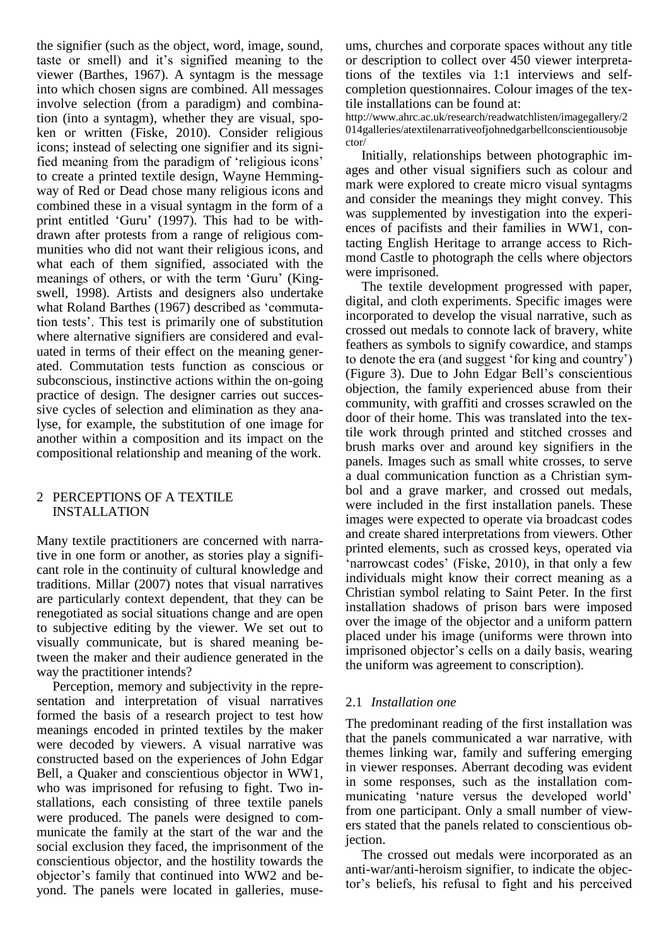the signifier (such as the object, word, image, sound, taste or smell) and it's signified meaning to the viewer (Barthes, 1967). A syntagm is the message into which chosen signs are combined. All messages involve selection (from a paradigm) and combination (into a syntagm), whether they are visual, spoken or written (Fiske, 2010). Consider religious icons; instead of selecting one signifier and its signified meaning from the paradigm of 'religious icons' to create a printed textile design, Wayne Hemmingway of Red or Dead chose many religious icons and combined these in a visual syntagm in the form of a print entitled 'Guru' (1997). This had to be withdrawn after protests from a range of religious communities who did not want their religious icons, and what each of them signified, associated with the meanings of others, or with the term 'Guru' (Kingswell, 1998). Artists and designers also undertake what Roland Barthes (1967) described as 'commutation tests'. This test is primarily one of substitution where alternative signifiers are considered and evaluated in terms of their effect on the meaning generated. Commutation tests function as conscious or subconscious, instinctive actions within the on-going practice of design. The designer carries out successive cycles of selection and elimination as they analyse, for example, the substitution of one image for another within a composition and its impact on the compositional relationship and meaning of the work.

#### 2 PERCEPTIONS OF A TEXTILE INSTALLATION

Many textile practitioners are concerned with narrative in one form or another, as stories play a significant role in the continuity of cultural knowledge and traditions. Millar (2007) notes that visual narratives are particularly context dependent, that they can be renegotiated as social situations change and are open to subjective editing by the viewer. We set out to visually communicate, but is shared meaning between the maker and their audience generated in the way the practitioner intends?

Perception, memory and subjectivity in the representation and interpretation of visual narratives formed the basis of a research project to test how meanings encoded in printed textiles by the maker were decoded by viewers. A visual narrative was constructed based on the experiences of John Edgar Bell, a Quaker and conscientious objector in WW1, who was imprisoned for refusing to fight. Two installations, each consisting of three textile panels were produced. The panels were designed to communicate the family at the start of the war and the social exclusion they faced, the imprisonment of the conscientious objector, and the hostility towards the objector's family that continued into WW2 and beyond. The panels were located in galleries, museums, churches and corporate spaces without any title or description to collect over 450 viewer interpretations of the textiles via 1:1 interviews and selfcompletion questionnaires. Colour images of the textile installations can be found at:

[http://www.ahrc.ac.uk/research/readwatchlisten/imagegallery/2](http://www.ahrc.ac.uk/research/readwatchlisten/imagegallery/2014galleries/atextilenarrativeofjohnedgarbellconscientiousobjector/) [014galleries/atextilenarrativeofjohnedgarbellconscientiousobje](http://www.ahrc.ac.uk/research/readwatchlisten/imagegallery/2014galleries/atextilenarrativeofjohnedgarbellconscientiousobjector/) [ctor/](http://www.ahrc.ac.uk/research/readwatchlisten/imagegallery/2014galleries/atextilenarrativeofjohnedgarbellconscientiousobjector/) 

Initially, relationships between photographic images and other visual signifiers such as colour and mark were explored to create micro visual syntagms and consider the meanings they might convey. This was supplemented by investigation into the experiences of pacifists and their families in WW1, contacting English Heritage to arrange access to Richmond Castle to photograph the cells where objectors were imprisoned.

The textile development progressed with paper, digital, and cloth experiments. Specific images were incorporated to develop the visual narrative, such as crossed out medals to connote lack of bravery, white feathers as symbols to signify cowardice, and stamps to denote the era (and suggest 'for king and country') (Figure 3). Due to John Edgar Bell's conscientious objection, the family experienced abuse from their community, with graffiti and crosses scrawled on the door of their home. This was translated into the textile work through printed and stitched crosses and brush marks over and around key signifiers in the panels. Images such as small white crosses, to serve a dual communication function as a Christian symbol and a grave marker, and crossed out medals, were included in the first installation panels. These images were expected to operate via broadcast codes and create shared interpretations from viewers. Other printed elements, such as crossed keys, operated via 'narrowcast codes' (Fiske, 2010), in that only a few individuals might know their correct meaning as a Christian symbol relating to Saint Peter. In the first installation shadows of prison bars were imposed over the image of the objector and a uniform pattern placed under his image (uniforms were thrown into imprisoned objector's cells on a daily basis, wearing the uniform was agreement to conscription).

#### 2.1 *Installation one*

The predominant reading of the first installation was that the panels communicated a war narrative, with themes linking war, family and suffering emerging in viewer responses. Aberrant decoding was evident in some responses, such as the installation communicating 'nature versus the developed world' from one participant. Only a small number of viewers stated that the panels related to conscientious objection.

The crossed out medals were incorporated as an anti-war/anti-heroism signifier, to indicate the objector's beliefs, his refusal to fight and his perceived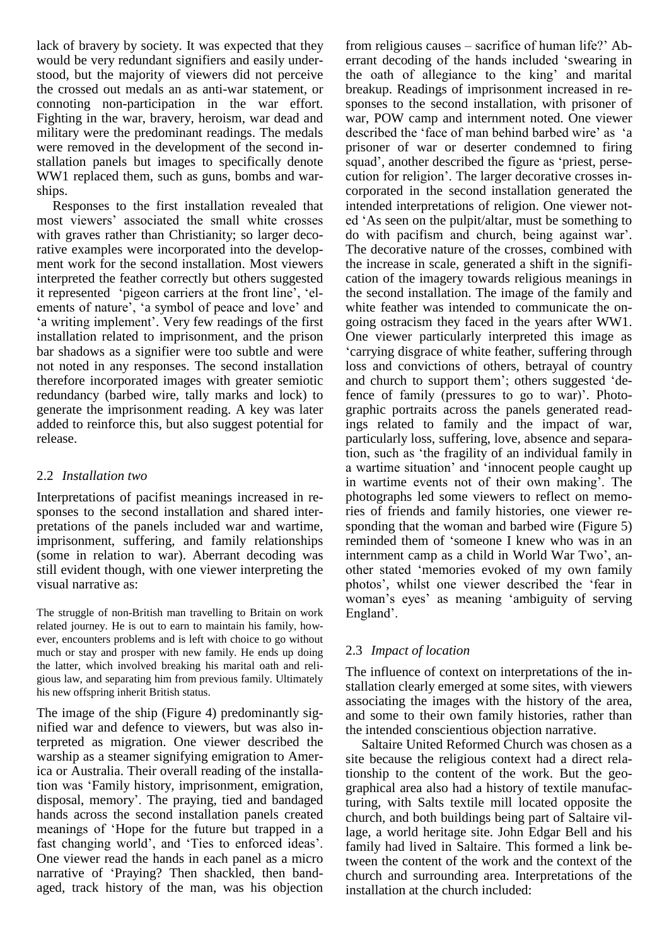lack of bravery by society. It was expected that they would be very redundant signifiers and easily understood, but the majority of viewers did not perceive the crossed out medals an as anti-war statement, or connoting non-participation in the war effort. Fighting in the war, bravery, heroism, war dead and military were the predominant readings. The medals were removed in the development of the second installation panels but images to specifically denote WW1 replaced them, such as guns, bombs and warships.

Responses to the first installation revealed that most viewers' associated the small white crosses with graves rather than Christianity; so larger decorative examples were incorporated into the development work for the second installation. Most viewers interpreted the feather correctly but others suggested it represented 'pigeon carriers at the front line', 'elements of nature', 'a symbol of peace and love' and 'a writing implement'. Very few readings of the first installation related to imprisonment, and the prison bar shadows as a signifier were too subtle and were not noted in any responses. The second installation therefore incorporated images with greater semiotic redundancy (barbed wire, tally marks and lock) to generate the imprisonment reading. A key was later added to reinforce this, but also suggest potential for release.

# 2.2 *Installation two*

Interpretations of pacifist meanings increased in responses to the second installation and shared interpretations of the panels included war and wartime, imprisonment, suffering, and family relationships (some in relation to war). Aberrant decoding was still evident though, with one viewer interpreting the visual narrative as:

The struggle of non-British man travelling to Britain on work related journey. He is out to earn to maintain his family, however, encounters problems and is left with choice to go without much or stay and prosper with new family. He ends up doing the latter, which involved breaking his marital oath and religious law, and separating him from previous family. Ultimately his new offspring inherit British status.

The image of the ship (Figure 4) predominantly signified war and defence to viewers, but was also interpreted as migration. One viewer described the warship as a steamer signifying emigration to America or Australia. Their overall reading of the installation was 'Family history, imprisonment, emigration, disposal, memory'. The praying, tied and bandaged hands across the second installation panels created meanings of 'Hope for the future but trapped in a fast changing world', and 'Ties to enforced ideas'. One viewer read the hands in each panel as a micro narrative of 'Praying? Then shackled, then bandaged, track history of the man, was his objection

from religious causes – sacrifice of human life?' Aberrant decoding of the hands included 'swearing in the oath of allegiance to the king' and marital breakup. Readings of imprisonment increased in responses to the second installation, with prisoner of war, POW camp and internment noted. One viewer described the 'face of man behind barbed wire' as 'a prisoner of war or deserter condemned to firing squad', another described the figure as 'priest, persecution for religion'. The larger decorative crosses incorporated in the second installation generated the intended interpretations of religion. One viewer noted 'As seen on the pulpit/altar, must be something to do with pacifism and church, being against war'. The decorative nature of the crosses, combined with the increase in scale, generated a shift in the signification of the imagery towards religious meanings in the second installation. The image of the family and white feather was intended to communicate the ongoing ostracism they faced in the years after WW1. One viewer particularly interpreted this image as 'carrying disgrace of white feather, suffering through loss and convictions of others, betrayal of country and church to support them'; others suggested 'defence of family (pressures to go to war)'. Photographic portraits across the panels generated readings related to family and the impact of war, particularly loss, suffering, love, absence and separation, such as 'the fragility of an individual family in a wartime situation' and 'innocent people caught up in wartime events not of their own making'. The photographs led some viewers to reflect on memories of friends and family histories, one viewer responding that the woman and barbed wire (Figure 5) reminded them of 'someone I knew who was in an internment camp as a child in World War Two', another stated 'memories evoked of my own family photos', whilst one viewer described the 'fear in woman's eyes' as meaning 'ambiguity of serving England'.

# 2.3 *Impact of location*

The influence of context on interpretations of the installation clearly emerged at some sites, with viewers associating the images with the history of the area, and some to their own family histories, rather than the intended conscientious objection narrative.

Saltaire United Reformed Church was chosen as a site because the religious context had a direct relationship to the content of the work. But the geographical area also had a history of textile manufacturing, with Salts textile mill located opposite the church, and both buildings being part of Saltaire village, a world heritage site. John Edgar Bell and his family had lived in Saltaire. This formed a link between the content of the work and the context of the church and surrounding area. Interpretations of the installation at the church included: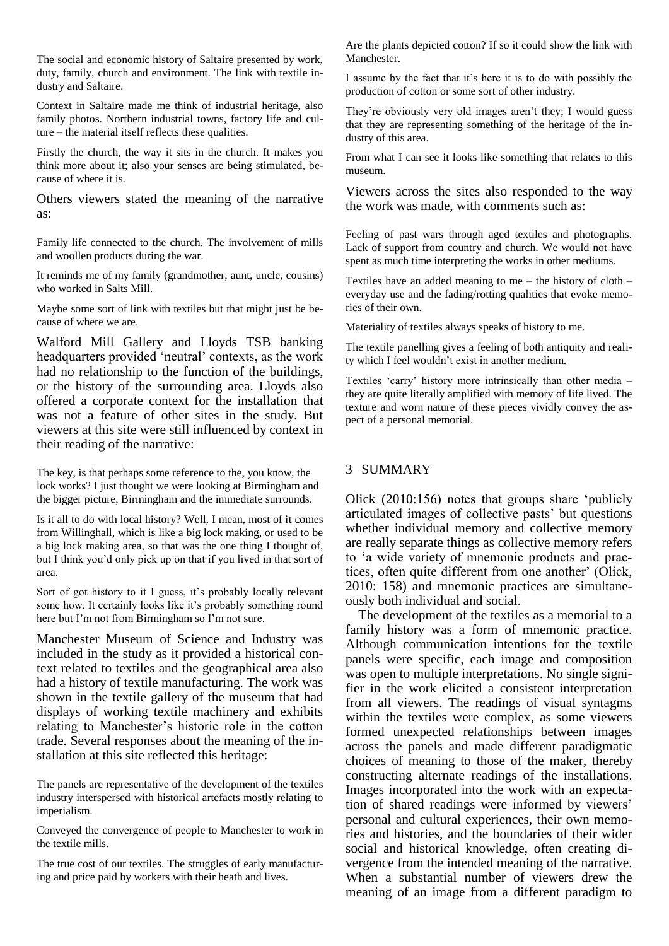The social and economic history of Saltaire presented by work, duty, family, church and environment. The link with textile industry and Saltaire.

Context in Saltaire made me think of industrial heritage, also family photos. Northern industrial towns, factory life and culture – the material itself reflects these qualities.

Firstly the church, the way it sits in the church. It makes you think more about it; also your senses are being stimulated, because of where it is.

Others viewers stated the meaning of the narrative as:

Family life connected to the church. The involvement of mills and woollen products during the war.

It reminds me of my family (grandmother, aunt, uncle, cousins) who worked in Salts Mill.

Maybe some sort of link with textiles but that might just be because of where we are.

Walford Mill Gallery and Lloyds TSB banking headquarters provided 'neutral' contexts, as the work had no relationship to the function of the buildings, or the history of the surrounding area. Lloyds also offered a corporate context for the installation that was not a feature of other sites in the study. But viewers at this site were still influenced by context in their reading of the narrative:

The key, is that perhaps some reference to the, you know, the lock works? I just thought we were looking at Birmingham and the bigger picture, Birmingham and the immediate surrounds.

Is it all to do with local history? Well, I mean, most of it comes from Willinghall, which is like a big lock making, or used to be a big lock making area, so that was the one thing I thought of, but I think you'd only pick up on that if you lived in that sort of area.

Sort of got history to it I guess, it's probably locally relevant some how. It certainly looks like it's probably something round here but I'm not from Birmingham so I'm not sure.

Manchester Museum of Science and Industry was included in the study as it provided a historical context related to textiles and the geographical area also had a history of textile manufacturing. The work was shown in the textile gallery of the museum that had displays of working textile machinery and exhibits relating to Manchester's historic role in the cotton trade. Several responses about the meaning of the installation at this site reflected this heritage:

The panels are representative of the development of the textiles industry interspersed with historical artefacts mostly relating to imperialism.**"**

Conveyed the convergence of people to Manchester to work in the textile mills.

The true cost of our textiles. The struggles of early manufacturing and price paid by workers with their heath and lives.

Are the plants depicted cotton? If so it could show the link with Manchester.

I assume by the fact that it's here it is to do with possibly the production of cotton or some sort of other industry.

They're obviously very old images aren't they; I would guess that they are representing something of the heritage of the industry of this area.

From what I can see it looks like something that relates to this museum.

Viewers across the sites also responded to the way the work was made, with comments such as:

Feeling of past wars through aged textiles and photographs. Lack of support from country and church. We would not have spent as much time interpreting the works in other mediums.

Textiles have an added meaning to me – the history of cloth – everyday use and the fading/rotting qualities that evoke memories of their own.

Materiality of textiles always speaks of history to me.

The textile panelling gives a feeling of both antiquity and reality which I feel wouldn't exist in another medium.

Textiles 'carry' history more intrinsically than other media – they are quite literally amplified with memory of life lived. The texture and worn nature of these pieces vividly convey the aspect of a personal memorial.

#### 3 SUMMARY

Olick (2010:156) notes that groups share 'publicly articulated images of collective pasts' but questions whether individual memory and collective memory are really separate things as collective memory refers to 'a wide variety of mnemonic products and practices, often quite different from one another' (Olick, 2010: 158) and mnemonic practices are simultaneously both individual and social.

The development of the textiles as a memorial to a family history was a form of mnemonic practice. Although communication intentions for the textile panels were specific, each image and composition was open to multiple interpretations. No single signifier in the work elicited a consistent interpretation from all viewers. The readings of visual syntagms within the textiles were complex, as some viewers formed unexpected relationships between images across the panels and made different paradigmatic choices of meaning to those of the maker, thereby constructing alternate readings of the installations. Images incorporated into the work with an expectation of shared readings were informed by viewers' personal and cultural experiences, their own memories and histories, and the boundaries of their wider social and historical knowledge, often creating divergence from the intended meaning of the narrative. When a substantial number of viewers drew the meaning of an image from a different paradigm to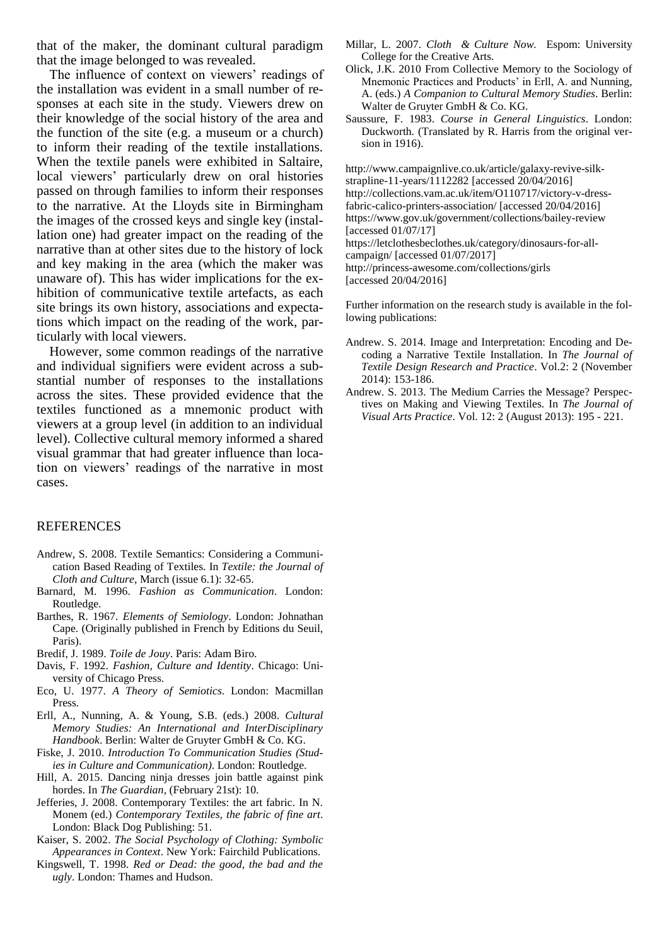that of the maker, the dominant cultural paradigm that the image belonged to was revealed.

The influence of context on viewers' readings of the installation was evident in a small number of responses at each site in the study. Viewers drew on their knowledge of the social history of the area and the function of the site (e.g. a museum or a church) to inform their reading of the textile installations. When the textile panels were exhibited in Saltaire, local viewers' particularly drew on oral histories passed on through families to inform their responses to the narrative. At the Lloyds site in Birmingham the images of the crossed keys and single key (installation one) had greater impact on the reading of the narrative than at other sites due to the history of lock and key making in the area (which the maker was unaware of). This has wider implications for the exhibition of communicative textile artefacts, as each site brings its own history, associations and expectations which impact on the reading of the work, particularly with local viewers.

However, some common readings of the narrative and individual signifiers were evident across a substantial number of responses to the installations across the sites. These provided evidence that the textiles functioned as a mnemonic product with viewers at a group level (in addition to an individual level). Collective cultural memory informed a shared visual grammar that had greater influence than location on viewers' readings of the narrative in most cases.

#### REFERENCES

- Andrew, S. 2008. Textile Semantics: Considering a Communication Based Reading of Textiles. In *Textile: the Journal of Cloth and Culture*, March (issue 6.1): 32-65.
- Barnard, M. 1996. *Fashion as Communication*. London: Routledge.
- Barthes, R. 1967. *Elements of Semiology*. London: Johnathan Cape. (Originally published in French by Editions du Seuil, Paris).
- Bredif, J. 1989. *Toile de Jouy*. Paris: Adam Biro.
- Davis, F. 1992. *Fashion, Culture and Identity*. Chicago: University of Chicago Press.
- Eco, U. 1977. *A Theory of Semiotics*. London: Macmillan Press.
- Erll, A., Nunning, A. & Young, S.B. (eds.) 2008. *Cultural Memory Studies: An International and InterDisciplinary Handbook*. Berlin: Walter de Gruyter GmbH & Co. KG.
- Fiske, J. 2010. *Introduction To Communication Studies (Studies in Culture and Communication)*. London: Routledge.
- Hill, A. 2015. Dancing ninja dresses join battle against pink hordes. In *The Guardian,* (February 21st): 10.
- Jefferies, J. 2008. Contemporary Textiles: the art fabric. In N. Monem (ed.) *Contemporary Textiles, the fabric of fine art*. London: Black Dog Publishing: 51.
- Kaiser, S. 2002. *The Social Psychology of Clothing: Symbolic Appearances in Context*. New York: Fairchild Publications.
- Kingswell, T. 1998. *Red or Dead: the good, the bad and the ugly*. London: Thames and Hudson.
- Millar, L. 2007. *Cloth & Culture Now.* Espom: University College for the Creative Arts.
- Olick, J.K. 2010 From Collective Memory to the Sociology of Mnemonic Practices and Products' in Erll, A. and Nunning, A. (eds.) *A Companion to Cultural Memory Studies*. Berlin: Walter de Gruyter GmbH & Co. KG.
- Saussure, F. 1983. *Course in General Linguistics*. London: Duckworth. (Translated by R. Harris from the original version in 1916).

[http://www.campaignlive.co.uk/article/galaxy-revive-silk](http://www.campaignlive.co.uk/article/galaxy-revive-silk-strapline-11-years/1112282)[strapline-11-years/1112282](http://www.campaignlive.co.uk/article/galaxy-revive-silk-strapline-11-years/1112282) [accessed 20/04/2016] [http://collections.vam.ac.uk/item/O110717/victory-v-dress](http://collections.vam.ac.uk/item/O110717/victory-v-dress-fabric-calico-printers-association/)[fabric-calico-printers-association/](http://collections.vam.ac.uk/item/O110717/victory-v-dress-fabric-calico-printers-association/) [accessed 20/04/2016] <https://www.gov.uk/government/collections/bailey-review> [accessed 01/07/17] [https://letclothesbeclothes.uk/category/dinosaurs-for-all](https://letclothesbeclothes.uk/category/dinosaurs-for-all-campaign/)[campaign/](https://letclothesbeclothes.uk/category/dinosaurs-for-all-campaign/) [accessed 01/07/2017] <http://princess-awesome.com/collections/girls> [accessed 20/04/2016]

Further information on the research study is available in the following publications:

- Andrew. S. 2014. Image and Interpretation: Encoding and Decoding a Narrative Textile Installation. In *The Journal of Textile Design Research and Practice*. Vol.2: 2 (November 2014): 153-186.
- Andrew. S. 2013. The Medium Carries the Message? Perspectives on Making and Viewing Textiles. In *The Journal of Visual Arts Practice*. Vol. 12: 2 (August 2013): 195 - 221.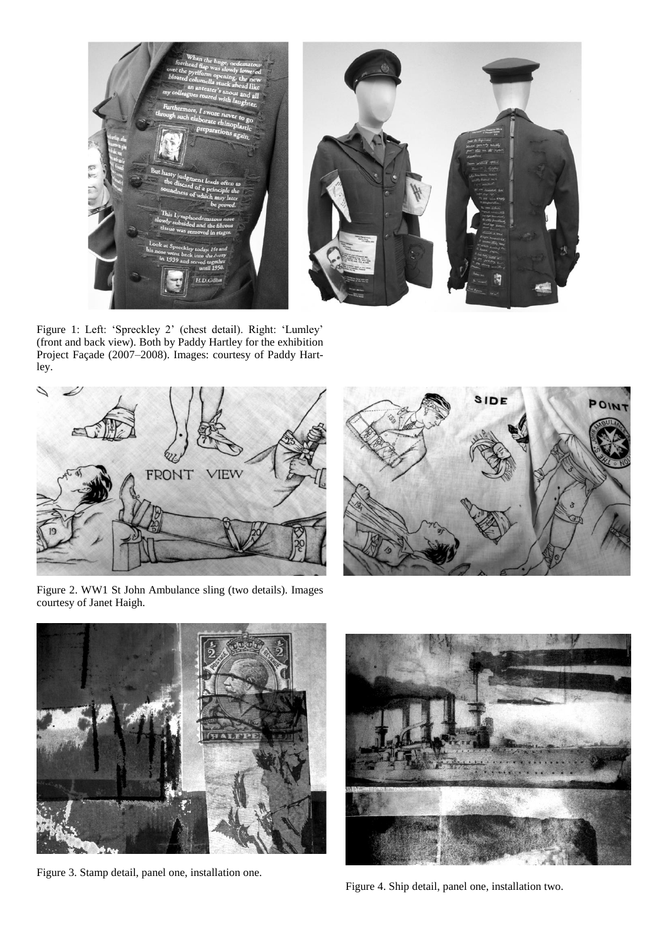

Figure 1: Left: 'Spreckley 2' (chest detail). Right: 'Lumley' (front and back view). Both by Paddy Hartley for the exhibition Project Façade (2007–2008). Images: courtesy of Paddy Hartley.



Figure 2. WW1 St John Ambulance sling (two details). Images courtesy of Janet Haigh.





Figure 3. Stamp detail, panel one, installation one.



Figure 4. Ship detail, panel one, installation two.